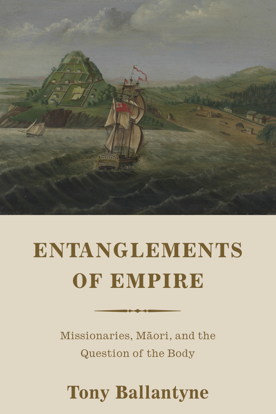

# **ENTANGLEMENTS OF EMPIRE**

Missionaries, M **FEIVIFIN**<br>
bnaries, Māori, al<br>
lestion of the Bo āori, and the Question of the Body

**Tony Ballantyne**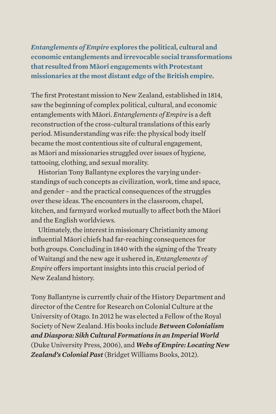*Entanglements of Empire* **explores the political, cultural and economic entanglements and irrevocable social transformations that resulted from Māori engagements with Protestant missionaries at the most distant edge of the British empire.**

The first Protestant mission to New Zealand, established in 1814, saw the beginning of complex political, cultural, and economic entanglements with Māori. *Entanglements of Empire* is a deft reconstruction of the cross-cultural translations of this early period. Misunderstanding was rife: the physical body itself became the most contentious site of cultural engagement, as Māori and missionaries struggled over issues of hygiene, tattooing, clothing, and sexual morality.

Historian Tony Ballantyne explores the varying understandings of such concepts as civilization, work, time and space, and gender – and the practical consequences of the struggles over these ideas. The encounters in the classroom, chapel, kitchen, and farmyard worked mutually to affect both the Māori and the English worldviews.

Ultimately, the interest in missionary Christianity among influential Māori chiefs had far-reaching consequences for both groups. Concluding in 1840 with the signing of the Treaty of Waitangi and the new age it ushered in, *Entanglements of Empire* offers important insights into this crucial period of New Zealand history.

Tony Ballantyne is currently chair of the History Department and director of the Centre for Research on Colonial Culture at the University of Otago. In 2012 he was elected a Fellow of the Royal Society of New Zealand. His books include *Between Colonialism and Diaspora: Sikh Cultural Formations in an Imperial World* (Duke University Press, 2006), and *Webs of Empire: Locating New Zealand's Colonial Past* (Bridget Williams Books, 2012).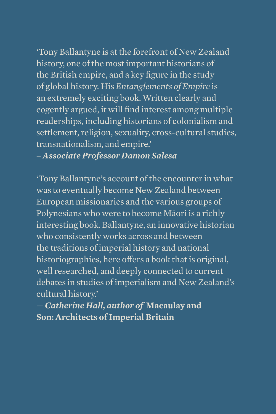'Tony Ballantyne is at the forefront of New Zealand history, one of the most important historians of the British empire, and a key figure in the study of global history. His *Entanglements of Empire* is an extremely exciting book. Written clearly and cogently argued, it will find interest among multiple readerships, including historians of colonialism and settlement, religion, sexuality, cross-cultural studies, transnationalism, and empire.'

*– Associate Professor Damon Salesa*

'Tony Ballantyne's account of the encounter in what was to eventually become New Zealand between European missionaries and the various groups of Polynesians who were to become Māori is a richly interesting book. Ballantyne, an innovative historian who consistently works across and between the traditions of imperial history and national historiographies, here offers a book that is original, well researched, and deeply connected to current debates in studies of imperialism and New Zealand's cultural history.'

*— Catherine Hall, author of***Macaulay and Son: Architects of Imperial Britain**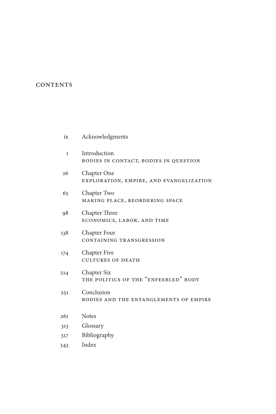### **CONTENTS**

| ix           | Acknowledgments                                        |
|--------------|--------------------------------------------------------|
| $\mathbf{1}$ | Introduction<br>BODIES IN CONTACT, BODIES IN QUESTION  |
| 26           | Chapter One<br>EXPLORATION, EMPIRE, AND EVANGELIZATION |
| 65           | Chapter Two<br>MAKING PLACE, REORDERING SPACE          |
| 98           | Chapter Three<br>ECONOMICS, LABOR, AND TIME            |
| 138          | Chapter Four<br>CONTAINING TRANSGRESSION               |
| 174          | <b>Chapter Five</b><br><b>CULTURES OF DEATH</b>        |
| 214          | Chapter Six<br>THE POLITICS OF THE "ENFEEBLED" BODY    |
| 251          | Conclusion<br>BODIES AND THE ENTANGLEMENTS OF EMPIRE   |
| 261          | <b>Notes</b>                                           |
| 313          | Glossary                                               |
| 317          | Bibliography                                           |
| 343          | Index                                                  |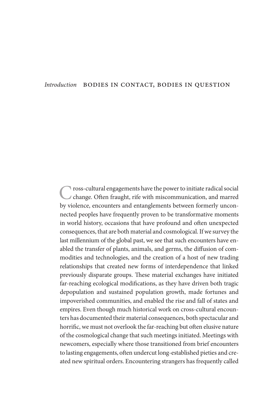#### Introduction BODIES IN CONTACT, BODIES IN QUESTION

Cross-cultural engagements have the power to initiate radical social<br>change. Often fraught, rife with miscommunication, and marred by violence, encounters and entanglements between formerly unconnected peoples have frequently proven to be transformative moments in world history, occasions that have profound and often unexpected consequences, that are both material and cosmological. If we survey the last millennium of the global past, we see that such encounters have enabled the transfer of plants, animals, and germs, the diffusion of commodities and technologies, and the creation of a host of new trading relationships that created new forms of interdependence that linked previously disparate groups. These material exchanges have initiated far-reaching ecological modifications, as they have driven both tragic depopulation and sustained population growth, made fortunes and impoverished communities, and enabled the rise and fall of states and empires. Even though much historical work on cross-cultural encounters has documented their material consequences, both spectacular and horrific, we must not overlook the far-reaching but often elusive nature of the cosmological change that such meetings initiated. Meetings with newcomers, especially where those transitioned from brief encounters to lasting engagements, often undercut long-established pieties and created new spiritual orders. Encountering strangers has frequently called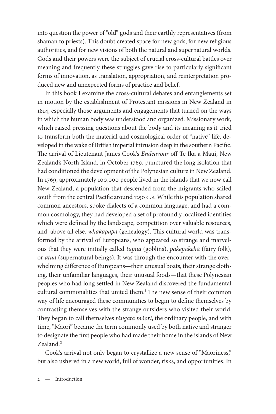into question the power of "old" gods and their earthly representatives (from shaman to priests). This doubt created space for new gods, for new religious authorities, and for new visions of both the natural and supernatural worlds. Gods and their powers were the subject of crucial cross- cultural battles over meaning and frequently these struggles gave rise to particularly significant forms of innovation, as translation, appropriation, and reinterpretation produced new and unexpected forms of practice and belief.

In this book I examine the cross- cultural debates and entanglements set in motion by the establishment of Protestant missions in New Zealand in 1814, especially those arguments and engagements that turned on the ways in which the human body was understood and organized. Missionary work, which raised pressing questions about the body and its meaning as it tried to transform both the material and cosmological order of "native" life, developed in the wake of British imperial intrusion deep in the southern Pacific. The arrival of Lieutenant James Cook's *Endeavour* off Te Ika a Māui, New Zealand's North Island, in October 1769, punctured the long isolation that had conditioned the development of the Polynesian culture in New Zealand. In 1769, approximately 100,000 people lived in the islands that we now call New Zealand, a population that descended from the migrants who sailed south from the central Pacific around 1250 C.E. While this population shared common ancestors, spoke dialects of a common language, and had a common cosmology, they had developed a set of profoundly localized identities which were defined by the landscape, competition over valuable resources, and, above all else, *whakapapa* (genealogy). This cultural world was transformed by the arrival of Europeans, who appeared so strange and marvelous that they were initially called *tupua* (goblins), *pakepakehā* (fairy folk), or *atua* (supernatural beings). It was through the encounter with the overwhelming difference of Europeans—their unusual boats, their strange clothing, their unfamiliar languages, their unusual foods— that these Polynesian peoples who had long settled in New Zealand discovered the fundamental cultural commonalities that united them.<sup>1</sup> The new sense of their common way of life encouraged these communities to begin to define themselves by contrasting themselves with the strange outsiders who visited their world. They began to call themselves *tāngata māori*, the ordinary people, and with time, "Māori" became the term commonly used by both native and stranger to designate the first people who had made their home in the islands of New Zealand.2

Cook's arrival not only began to crystallize a new sense of "Māoriness," but also ushered in a new world, full of wonder, risks, and opportunities. In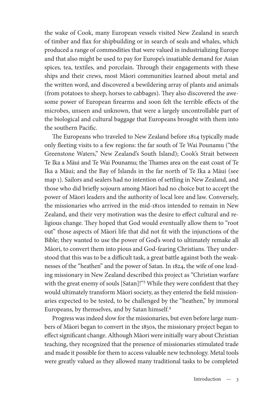the wake of Cook, many European vessels visited New Zealand in search of timber and flax for shipbuilding or in search of seals and whales, which produced a range of commodities that were valued in industrializing Europe and that also might be used to pay for Europe's insatiable demand for Asian spices, tea, textiles, and porcelain. Through their engagements with these ships and their crews, most Māori communities learned about metal and the written word, and discovered a bewildering array of plants and animals (from potatoes to sheep, horses to cabbages). They also discovered the awesome power of European firearms and soon felt the terrible effects of the microbes, unseen and unknown, that were a largely uncontrollable part of the biological and cultural baggage that Europeans brought with them into the southern Pacific.

The Europeans who traveled to New Zealand before 1814 typically made only fleeting visits to a few regions: the far south of Te Wai Pounamu ("the Greenstone Waters," New Zealand's South Island); Cook's Strait between Te Ika a Māui and Te Wai Pounamu; the Thames area on the east coast of Te Ika a Māui; and the Bay of Islands in the far north of Te Ika a Māui (see map 1). Sailors and sealers had no intention of settling in New Zealand, and those who did briefly sojourn among Māori had no choice but to accept the power of Māori leaders and the authority of local lore and law. Conversely, the missionaries who arrived in the mid- 1810s intended to remain in New Zealand, and their very motivation was the desire to effect cultural and religious change. They hoped that God would eventually allow them to "root out" those aspects of Māori life that did not fit with the injunctions of the Bible; they wanted to use the power of God's word to ultimately remake all Māori, to convert them into pious and God-fearing Christians. They understood that this was to be a difficult task, a great battle against both the weaknesses of the "heathen" and the power of Satan. In 1824, the wife of one leading missionary in New Zealand described this project as "Christian warfare with the great enemy of souls [Satan]!"<sup>3</sup> While they were confident that they would ultimately transform Māori society, as they entered the field missionaries expected to be tested, to be challenged by the "heathen," by immoral Europeans, by themselves, and by Satan himself.<sup>4</sup>

Progress was indeed slow for the missionaries, but even before large numbers of Māori began to convert in the 1830s, the missionary project began to effect significant change. Although Māori were initially wary about Christian teaching, they recognized that the presence of missionaries stimulated trade and made it possible for them to access valuable new technology. Metal tools were greatly valued as they allowed many traditional tasks to be completed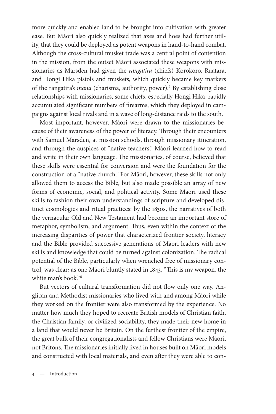more quickly and enabled land to be brought into cultivation with greater ease. But Māori also quickly realized that axes and hoes had further utility, that they could be deployed as potent weapons in hand-to-hand combat. Although the cross-cultural musket trade was a central point of contention in the mission, from the outset Māori associated these weapons with missionaries as Marsden had given the *rangatira* (chiefs) Korokoro, Ruatara, and Hongi Hika pistols and muskets, which quickly became key markers of the rangatira's *mana* (charisma, authority, power).<sup>5</sup> By establishing close relationships with missionaries, some chiefs, especially Hongi Hika, rapidly accumulated significant numbers of firearms, which they deployed in campaigns against local rivals and in a wave of long- distance raids to the south.

Most important, however, Māori were drawn to the missionaries because of their awareness of the power of literacy. Through their encounters with Samuel Marsden, at mission schools, through missionary itineration, and through the auspices of "native teachers," Māori learned how to read and write in their own language. The missionaries, of course, believed that these skills were essential for conversion and were the foundation for the construction of a "native church." For Māori, however, these skills not only allowed them to access the Bible, but also made possible an array of new forms of economic, social, and political activity. Some Māori used these skills to fashion their own understandings of scripture and developed distinct cosmologies and ritual practices: by the 1830s, the narratives of both the vernacular Old and New Testament had become an important store of metaphor, symbolism, and argument. Thus, even within the context of the increasing disparities of power that characterized frontier society, literacy and the Bible provided successive generations of Māori leaders with new skills and knowledge that could be turned against colonization. The radical potential of the Bible, particularly when wrenched free of missionary control, was clear; as one Māori bluntly stated in 1843, "This is my weapon, the white man's book"<sup>6</sup>

But vectors of cultural transformation did not flow only one way. Anglican and Methodist missionaries who lived with and among Māori while they worked on the frontier were also transformed by the experience. No matter how much they hoped to recreate British models of Christian faith, the Christian family, or civilized sociability, they made their new home in a land that would never be Britain. On the furthest frontier of the empire, the great bulk of their congregationalists and fellow Christians were Māori, not Britons. The missionaries initially lived in houses built on Māori models and constructed with local materials, and even after they were able to con-

4 — Introduction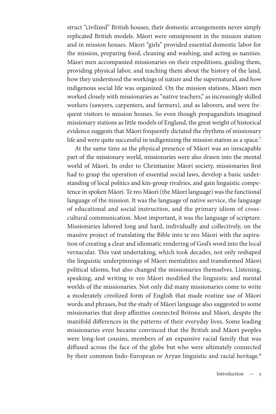struct "civilized" British houses, their domestic arrangements never simply replicated British models. Māori were omnipresent in the mission station and in mission houses. Māori "girls" provided essential domestic labor for the mission, preparing food, cleaning and washing, and acting as nannies. Māori men accompanied missionaries on their expeditions, guiding them, providing physical labor, and teaching them about the history of the land, how they understood the workings of nature and the supernatural, and how indigenous social life was organized. On the mission stations, Māori men worked closely with missionaries as "native teachers," as increasingly skilled workers (sawyers, carpenters, and farmers), and as laborers, and were frequent visitors to mission houses. So even though propagandists imagined missionary stations as little models of England, the great weight of historical evidence suggests that Māori frequently dictated the rhythms of missionary life and were quite successful in indigenizing the mission station as a space.<sup>7</sup>

At the same time as the physical presence of Māori was an inescapable part of the missionary world, missionaries were also drawn into the mental world of Māori. In order to Christianize Māori society, missionaries first had to grasp the operation of essential social laws, develop a basic understanding of local politics and kin- group rivalries, and gain linguistic competence in spoken Māori. Te reo Māori (the Māori language) was the functional language of the mission. It was the language of native service, the language of educational and social instruction, and the primary idiom of crosscultural communication. Most important, it was the language of scripture. Missionaries labored long and hard, individually and collectively, on the massive project of translating the Bible into te reo Māori with the aspiration of creating a clear and idiomatic rendering of God's word into the local vernacular. This vast undertaking, which took decades, not only reshaped the linguistic underpinnings of Māori mentalities and transformed Māori political idioms, but also changed the missionaries themselves. Listening, speaking, and writing te reo Māori modified the linguistic and mental worlds of the missionaries. Not only did many missionaries come to write a moderately creolized form of English that made routine use of Māori words and phrases, but the study of Māori language also suggested to some missionaries that deep affinities connected Britons and Māori, despite the manifold differences in the patterns of their everyday lives. Some leading missionaries even became convinced that the British and Māori peoples were long-lost cousins, members of an expansive racial family that was diffused across the face of the globe but who were ultimately connected by their common Indo-European or Aryan linguistic and racial heritage.<sup>8</sup>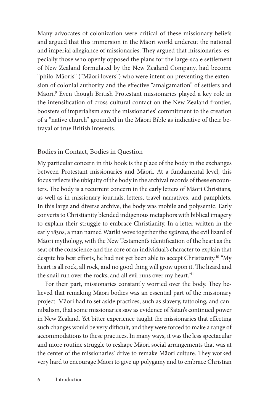Many advocates of colonization were critical of these missionary beliefs and argued that this immersion in the Māori world undercut the national and imperial allegiance of missionaries. They argued that missionaries, especially those who openly opposed the plans for the large- scale settlement of New Zealand formulated by the New Zealand Company, had become "philo-Māoris" ("Māori lovers") who were intent on preventing the extension of colonial authority and the effective "amalgamation" of settlers and Māori.9 Even though British Protestant missionaries played a key role in the intensification of cross-cultural contact on the New Zealand frontier, boosters of imperialism saw the missionaries' commitment to the creation of a "native church" grounded in the Māori Bible as indicative of their betrayal of true British interests.

#### Bodies in Contact, Bodies in Question

My particular concern in this book is the place of the body in the exchanges between Protestant missionaries and Māori. At a fundamental level, this focus reflects the ubiquity of the body in the archival records of these encounters. The body is a recurrent concern in the early letters of Māori Christians, as well as in missionary journals, letters, travel narratives, and pamphlets. In this large and diverse archive, the body was mobile and polysemic. Early converts to Christianity blended indigenous meta phors with biblical imagery to explain their struggle to embrace Christianity. In a letter written in the early 1830s, a man named Wariki wove together the *ngārara*, the evil lizard of Māori mythology, with the New Testament's identification of the heart as the seat of the conscience and the core of an individual's character to explain that despite his best efforts, he had not yet been able to accept Christianity.<sup>10</sup> "My heart is all rock, all rock, and no good thing will grow upon it. The lizard and the snail run over the rocks, and all evil runs over my heart."<sup>11</sup>

For their part, missionaries constantly worried over the body. They believed that remaking Māori bodies was an essential part of the missionary project. Māori had to set aside practices, such as slavery, tattooing, and cannibalism, that some missionaries saw as evidence of Satan's continued power in New Zealand. Yet bitter experience taught the missionaries that effecting such changes would be very difficult, and they were forced to make a range of accommodations to these practices. In many ways, it was the less spectacular and more routine struggle to reshape Māori social arrangements that was at the center of the missionaries' drive to remake Māori culture. They worked very hard to encourage Māori to give up polygamy and to embrace Christian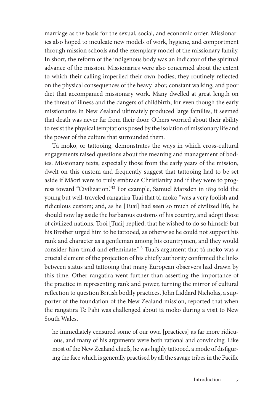marriage as the basis for the sexual, social, and economic order. Missionaries also hoped to inculcate new models of work, hygiene, and comportment through mission schools and the exemplary model of the missionary family. In short, the reform of the indigenous body was an indicator of the spiritual advance of the mission. Missionaries were also concerned about the extent to which their calling imperiled their own bodies; they routinely reflected on the physical consequences of the heavy labor, constant walking, and poor diet that accompanied missionary work. Many dwelled at great length on the threat of illness and the dangers of childbirth, for even though the early missionaries in New Zealand ultimately produced large families, it seemed that death was never far from their door. Others worried about their ability to resist the physical temptations posed by the isolation of missionary life and the power of the culture that surrounded them.

Tā moko, or tattooing, demonstrates the ways in which cross- cultural engagements raised questions about the meaning and management of bodies. Missionary texts, especially those from the early years of the mission, dwelt on this custom and frequently suggest that tattooing had to be set aside if Māori were to truly embrace Christianity and if they were to progress toward "Civilization."12 For example, Samuel Marsden in 1819 told the young but well-traveled rangatira Tuai that tā moko "was a very foolish and ridiculous custom; and, as he [Tuai] had seen so much of civilized life, he should now lay aside the barbarous customs of his country, and adopt those of civilized nations. Tooi [Tuai] replied, that he wished to do so himself; but his Brother urged him to be tattooed, as otherwise he could not support his rank and character as a gentleman among his countrymen, and they would consider him timid and effeminate."<sup>13</sup> Tuai's argument that tā moko was a crucial element of the projection of his chiefly authority confirmed the links between status and tattooing that many European observers had drawn by this time. Other rangatira went further than asserting the importance of the practice in representing rank and power, turning the mirror of cultural reflection to question British bodily practices. John Liddard Nicholas, a supporter of the foundation of the New Zealand mission, reported that when the rangatira Te Pahi was challenged about tā moko during a visit to New South Wales,

he immediately censured some of our own [practices] as far more ridiculous, and many of his arguments were both rational and convincing. Like most of the New Zealand chiefs, he was highly tattooed, a mode of disfiguring the face which is generally practised by all the savage tribes in the Pacific